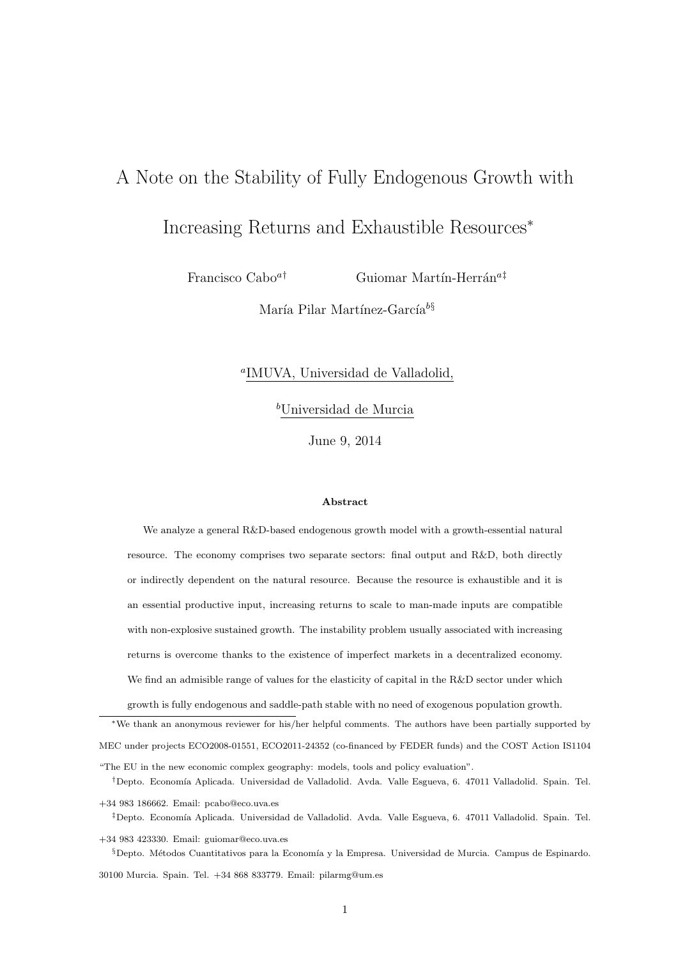# A Note on the Stability of Fully Endogenous Growth with

# Increasing Returns and Exhaustible Resources*<sup>∗</sup>*

Francisco Cabo<sup>a†</sup> Guiomar Martín-Herrán<sup>a‡</sup>

María Pilar Martínez-García<sup>b</sup><sup>§</sup>

## *a* IMUVA, Universidad de Valladolid,

*<sup>b</sup>*Universidad de Murcia

June 9, 2014

#### **Abstract**

We analyze a general R&D-based endogenous growth model with a growth-essential natural resource. The economy comprises two separate sectors: final output and R&D, both directly or indirectly dependent on the natural resource. Because the resource is exhaustible and it is an essential productive input, increasing returns to scale to man-made inputs are compatible with non-explosive sustained growth. The instability problem usually associated with increasing returns is overcome thanks to the existence of imperfect markets in a decentralized economy. We find an admisible range of values for the elasticity of capital in the R&D sector under which growth is fully endogenous and saddle-path stable with no need of exogenous population growth.

*∗*We thank an anonymous reviewer for his/her helpful comments. The authors have been partially supported by MEC under projects ECO2008-01551, ECO2011-24352 (co-financed by FEDER funds) and the COST Action IS1104 "The EU in the new economic complex geography: models, tools and policy evaluation".

<sup>†</sup>Depto. Economía Aplicada. Universidad de Valladolid. Avda. Valle Esgueva, 6. 47011 Valladolid. Spain. Tel.

+34 983 186662. Email: pcabo@eco.uva.es <sup>‡</sup>Depto. Economía Aplicada. Universidad de Valladolid. Avda. Valle Esgueva, 6. 47011 Valladolid. Spain. Tel.

+34 983 423330. Email: guiomar@eco.uva.es §Depto. Métodos Cuantitativos para la Economía y la Empresa. Universidad de Murcia. Campus de Espinardo.

30100 Murcia. Spain. Tel. +34 868 833779. Email: pilarmg@um.es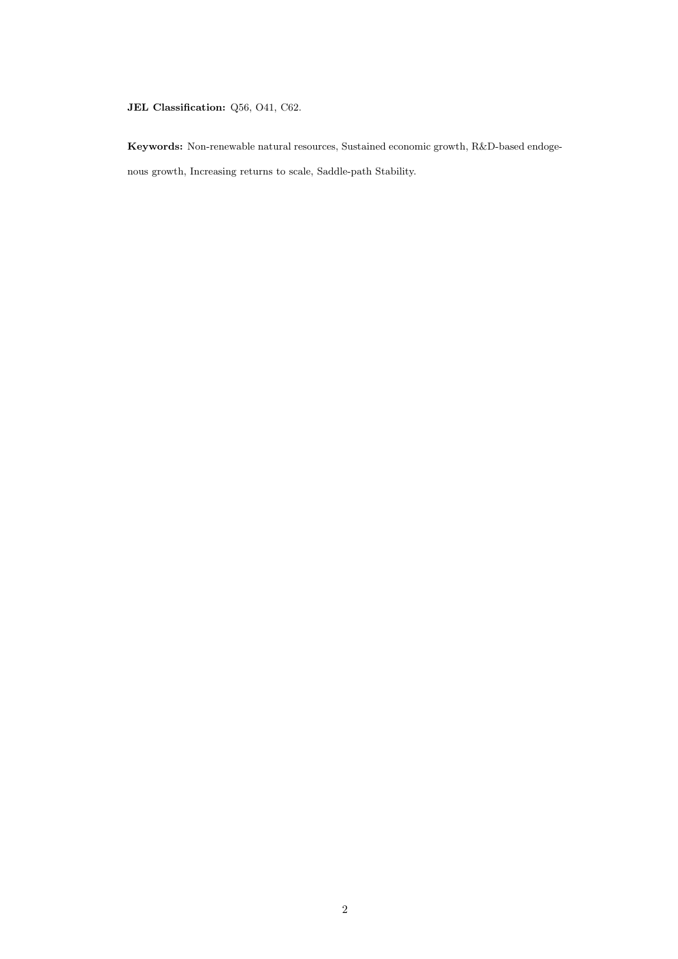### **JEL Classification:** Q56, O41, C62.

**Keywords:** Non-renewable natural resources, Sustained economic growth, R&D-based endogenous growth, Increasing returns to scale, Saddle-path Stability.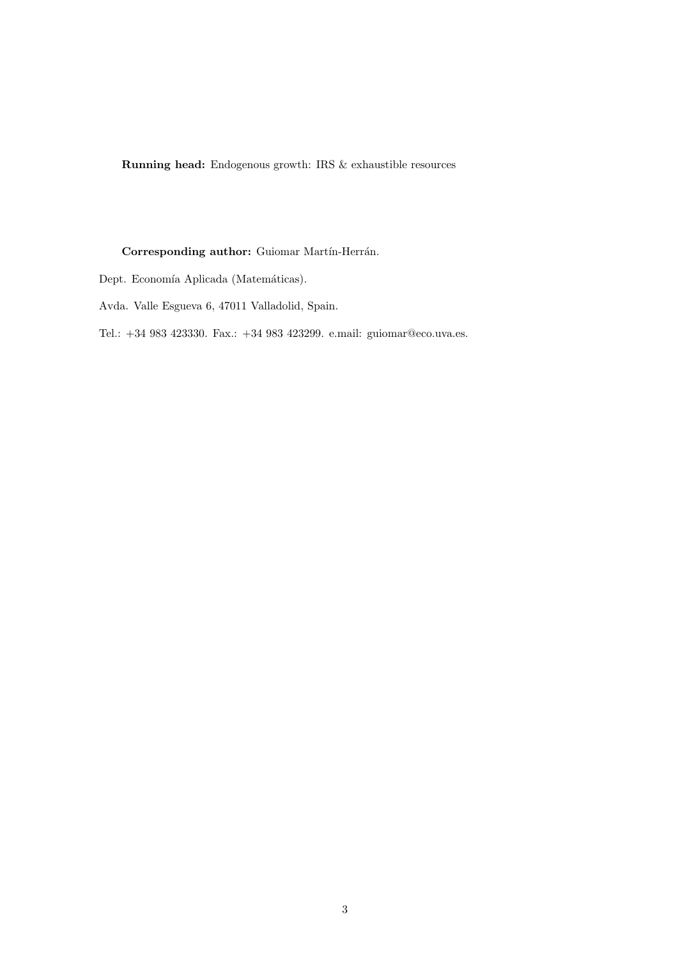**Running head:** Endogenous growth: IRS & exhaustible resources

### **Corresponding author:** Guiomar Martín-Herrán.

- Dept. Economía Aplicada (Matemáticas).
- Avda. Valle Esgueva 6, 47011 Valladolid, Spain.
- Tel.: +34 983 423330. Fax.: +34 983 423299. e.mail: guiomar@eco.uva.es.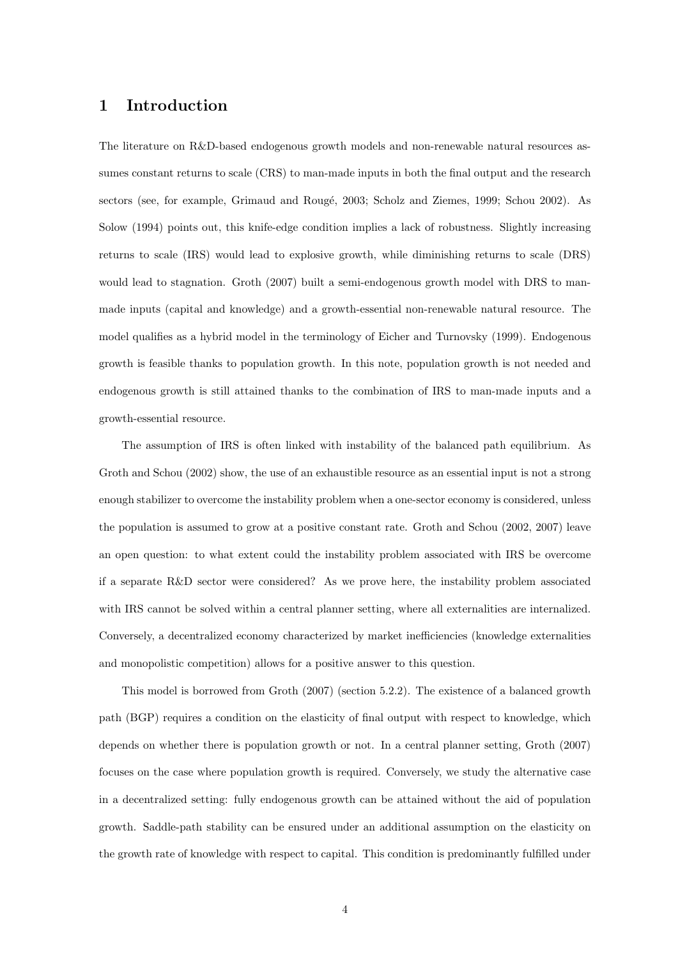## **1 Introduction**

The literature on R&D-based endogenous growth models and non-renewable natural resources assumes constant returns to scale (CRS) to man-made inputs in both the final output and the research sectors (see, for example, Grimaud and Rougé, 2003; Scholz and Ziemes, 1999; Schou 2002). As Solow (1994) points out, this knife-edge condition implies a lack of robustness. Slightly increasing returns to scale (IRS) would lead to explosive growth, while diminishing returns to scale (DRS) would lead to stagnation. Groth (2007) built a semi-endogenous growth model with DRS to manmade inputs (capital and knowledge) and a growth-essential non-renewable natural resource. The model qualifies as a hybrid model in the terminology of Eicher and Turnovsky (1999). Endogenous growth is feasible thanks to population growth. In this note, population growth is not needed and endogenous growth is still attained thanks to the combination of IRS to man-made inputs and a growth-essential resource.

The assumption of IRS is often linked with instability of the balanced path equilibrium. As Groth and Schou (2002) show, the use of an exhaustible resource as an essential input is not a strong enough stabilizer to overcome the instability problem when a one-sector economy is considered, unless the population is assumed to grow at a positive constant rate. Groth and Schou (2002, 2007) leave an open question: to what extent could the instability problem associated with IRS be overcome if a separate R&D sector were considered? As we prove here, the instability problem associated with IRS cannot be solved within a central planner setting, where all externalities are internalized. Conversely, a decentralized economy characterized by market inefficiencies (knowledge externalities and monopolistic competition) allows for a positive answer to this question.

This model is borrowed from Groth (2007) (section 5.2.2). The existence of a balanced growth path (BGP) requires a condition on the elasticity of final output with respect to knowledge, which depends on whether there is population growth or not. In a central planner setting, Groth (2007) focuses on the case where population growth is required. Conversely, we study the alternative case in a decentralized setting: fully endogenous growth can be attained without the aid of population growth. Saddle-path stability can be ensured under an additional assumption on the elasticity on the growth rate of knowledge with respect to capital. This condition is predominantly fulfilled under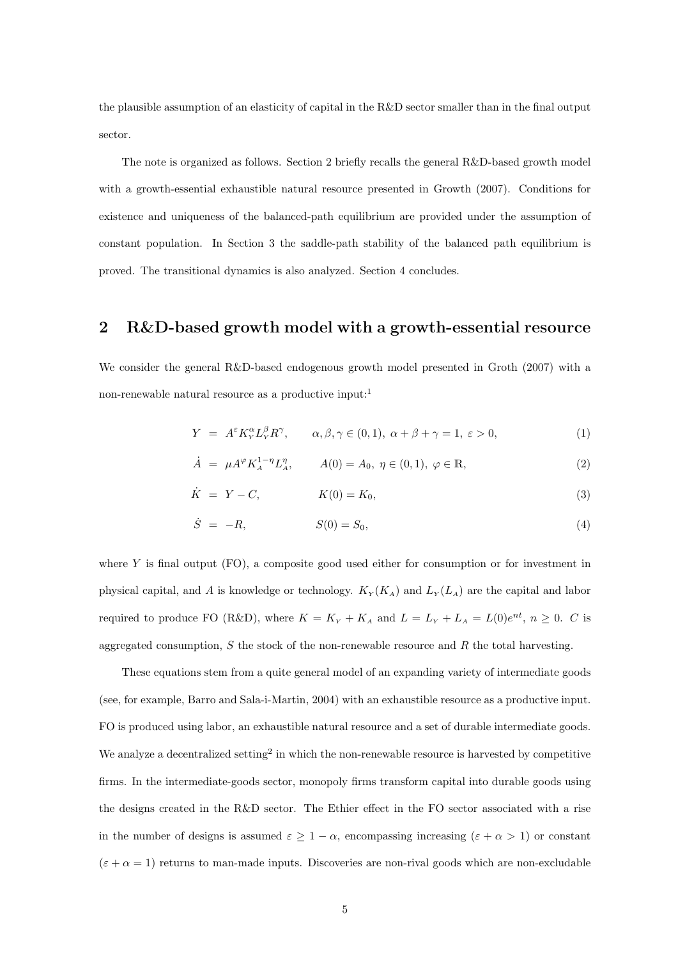the plausible assumption of an elasticity of capital in the R&D sector smaller than in the final output sector.

The note is organized as follows. Section 2 briefly recalls the general R&D-based growth model with a growth-essential exhaustible natural resource presented in Growth (2007). Conditions for existence and uniqueness of the balanced-path equilibrium are provided under the assumption of constant population. In Section 3 the saddle-path stability of the balanced path equilibrium is proved. The transitional dynamics is also analyzed. Section 4 concludes.

## **2 R&D-based growth model with a growth-essential resource**

We consider the general R&D-based endogenous growth model presented in Groth (2007) with a non-renewable natural resource as a productive input:<sup>1</sup>

$$
Y = A^{\varepsilon} K_{Y}^{\alpha} L_{Y}^{\beta} R^{\gamma}, \qquad \alpha, \beta, \gamma \in (0, 1), \ \alpha + \beta + \gamma = 1, \ \varepsilon > 0,
$$
 (1)

$$
\dot{A} = \mu A^{\varphi} K_A^{1-\eta} L_A^{\eta}, \qquad A(0) = A_0, \ \eta \in (0,1), \ \varphi \in \mathbb{R}, \tag{2}
$$

$$
\dot{K} = Y - C, \qquad K(0) = K_0,\tag{3}
$$

$$
\dot{S} = -R, \qquad S(0) = S_0, \tag{4}
$$

where  $Y$  is final output  $(FO)$ , a composite good used either for consumption or for investment in physical capital, and *A* is knowledge or technology.  $K_Y(K_A)$  and  $L_Y(L_A)$  are the capital and labor required to produce FO (R&D), where  $K = K_Y + K_A$  and  $L = L_Y + L_A = L(0)e^{nt}$ ,  $n \ge 0$ . *C* is aggregated consumption, *S* the stock of the non-renewable resource and *R* the total harvesting.

These equations stem from a quite general model of an expanding variety of intermediate goods (see, for example, Barro and Sala-i-Martin, 2004) with an exhaustible resource as a productive input. FO is produced using labor, an exhaustible natural resource and a set of durable intermediate goods. We analyze a decentralized setting<sup>2</sup> in which the non-renewable resource is harvested by competitive firms. In the intermediate-goods sector, monopoly firms transform capital into durable goods using the designs created in the R&D sector. The Ethier effect in the FO sector associated with a rise in the number of designs is assumed  $\varepsilon \geq 1 - \alpha$ , encompassing increasing  $(\varepsilon + \alpha > 1)$  or constant  $(\varepsilon + \alpha = 1)$  returns to man-made inputs. Discoveries are non-rival goods which are non-excludable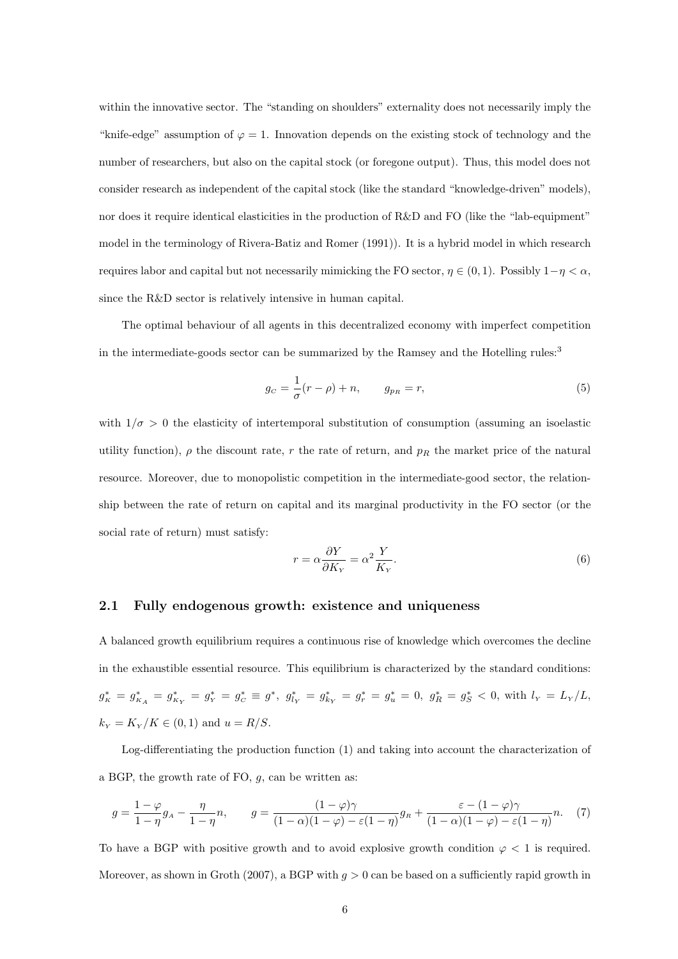within the innovative sector. The "standing on shoulders" externality does not necessarily imply the "knife-edge" assumption of  $\varphi = 1$ . Innovation depends on the existing stock of technology and the number of researchers, but also on the capital stock (or foregone output). Thus, this model does not consider research as independent of the capital stock (like the standard "knowledge-driven" models), nor does it require identical elasticities in the production of R&D and FO (like the "lab-equipment" model in the terminology of Rivera-Batiz and Romer (1991)). It is a hybrid model in which research requires labor and capital but not necessarily mimicking the FO sector, *η ∈* (0*,* 1). Possibly 1*−η < α*, since the R&D sector is relatively intensive in human capital.

The optimal behaviour of all agents in this decentralized economy with imperfect competition in the intermediate-goods sector can be summarized by the Ramsey and the Hotelling rules:<sup>3</sup>

$$
g_C = \frac{1}{\sigma}(r - \rho) + n, \qquad g_{p_R} = r,\tag{5}
$$

with  $1/\sigma > 0$  the elasticity of intertemporal substitution of consumption (assuming an isoelastic utility function),  $\rho$  the discount rate,  $r$  the rate of return, and  $p_R$  the market price of the natural resource. Moreover, due to monopolistic competition in the intermediate-good sector, the relationship between the rate of return on capital and its marginal productivity in the FO sector (or the social rate of return) must satisfy:

$$
r = \alpha \frac{\partial Y}{\partial K_Y} = \alpha^2 \frac{Y}{K_Y}.
$$
\n<sup>(6)</sup>

### **2.1 Fully endogenous growth: existence and uniqueness**

A balanced growth equilibrium requires a continuous rise of knowledge which overcomes the decline in the exhaustible essential resource. This equilibrium is characterized by the standard conditions:  $g_K^* = g_{K_A}^* = g_{K_Y}^* = g_Y^* = g_C^* \equiv g^*, \; g_{l_Y}^* = g_{k_Y}^* = g_r^* = g_u^* = 0, \; g_R^* = g_S^* < 0, \; \text{with} \; l_Y = L_Y/L,$  $k_Y = K_Y/K \in (0,1)$  and  $u = R/S$ .

Log-differentiating the production function (1) and taking into account the characterization of a BGP, the growth rate of FO, *g*, can be written as:

$$
g = \frac{1 - \varphi}{1 - \eta} g_A - \frac{\eta}{1 - \eta} n, \qquad g = \frac{(1 - \varphi)\gamma}{(1 - \alpha)(1 - \varphi) - \varepsilon(1 - \eta)} g_R + \frac{\varepsilon - (1 - \varphi)\gamma}{(1 - \alpha)(1 - \varphi) - \varepsilon(1 - \eta)} n. \tag{7}
$$

To have a BGP with positive growth and to avoid explosive growth condition  $\varphi$  < 1 is required. Moreover, as shown in Groth (2007), a BGP with *g >* 0 can be based on a sufficiently rapid growth in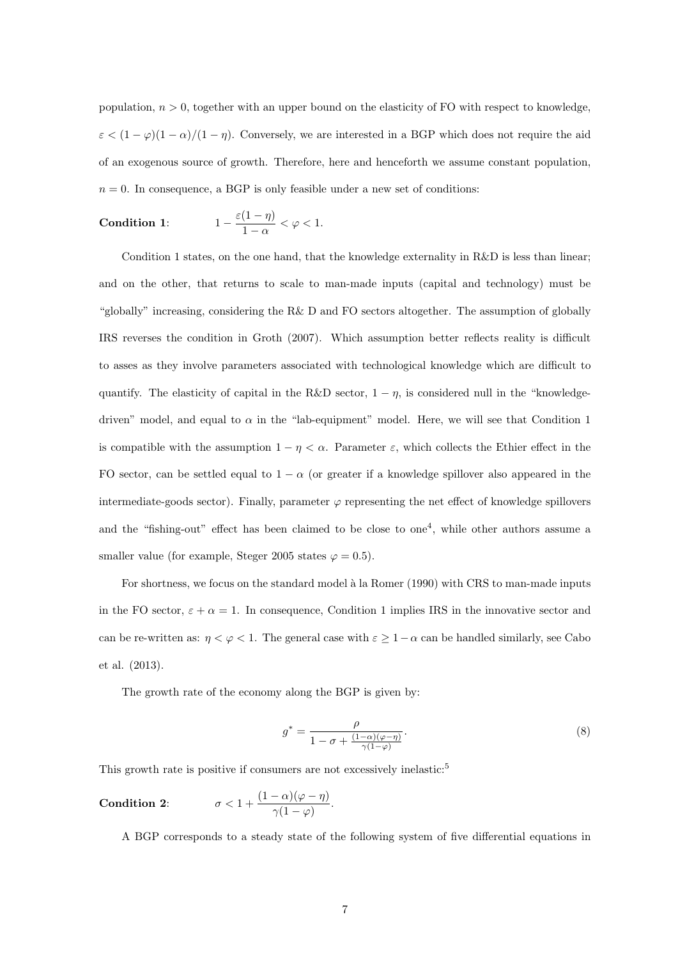population,  $n > 0$ , together with an upper bound on the elasticity of FO with respect to knowledge,  $\varepsilon$  <  $(1 - \varphi)(1 - \alpha)/(1 - \eta)$ . Conversely, we are interested in a BGP which does not require the aid of an exogenous source of growth. Therefore, here and henceforth we assume constant population,  $n = 0$ . In consequence, a BGP is only feasible under a new set of conditions:

Condition 1: 
$$
1 - \frac{\varepsilon(1-\eta)}{1-\alpha} < \varphi < 1.
$$

Condition 1 states, on the one hand, that the knowledge externality in R&D is less than linear; and on the other, that returns to scale to man-made inputs (capital and technology) must be "globally" increasing, considering the R& D and FO sectors altogether. The assumption of globally IRS reverses the condition in Groth (2007). Which assumption better reflects reality is difficult to asses as they involve parameters associated with technological knowledge which are difficult to quantify. The elasticity of capital in the R&D sector,  $1 - \eta$ , is considered null in the "knowledgedriven" model, and equal to  $\alpha$  in the "lab-equipment" model. Here, we will see that Condition 1 is compatible with the assumption  $1 - \eta < \alpha$ . Parameter  $\varepsilon$ , which collects the Ethier effect in the FO sector, can be settled equal to  $1 - \alpha$  (or greater if a knowledge spillover also appeared in the intermediate-goods sector). Finally, parameter  $\varphi$  representing the net effect of knowledge spillovers and the "fishing-out" effect has been claimed to be close to one<sup>4</sup>, while other authors assume a smaller value (for example, Steger 2005 states  $\varphi = 0.5$ ).

For shortness, we focus on the standard model à la Romer (1990) with CRS to man-made inputs in the FO sector,  $\varepsilon + \alpha = 1$ . In consequence, Condition 1 implies IRS in the innovative sector and can be re-written as:  $\eta < \varphi < 1$ . The general case with  $\varepsilon \geq 1-\alpha$  can be handled similarly, see Cabo et al. (2013).

The growth rate of the economy along the BGP is given by:

$$
g^* = \frac{\rho}{1 - \sigma + \frac{(1 - \alpha)(\varphi - \eta)}{\gamma(1 - \varphi)}}.\tag{8}
$$

This growth rate is positive if consumers are not excessively inelastic:<sup>5</sup>

**Condition 2:** 
$$
\sigma < 1 + \frac{(1-\alpha)(\varphi - \eta)}{\gamma(1-\varphi)}.
$$

A BGP corresponds to a steady state of the following system of five differential equations in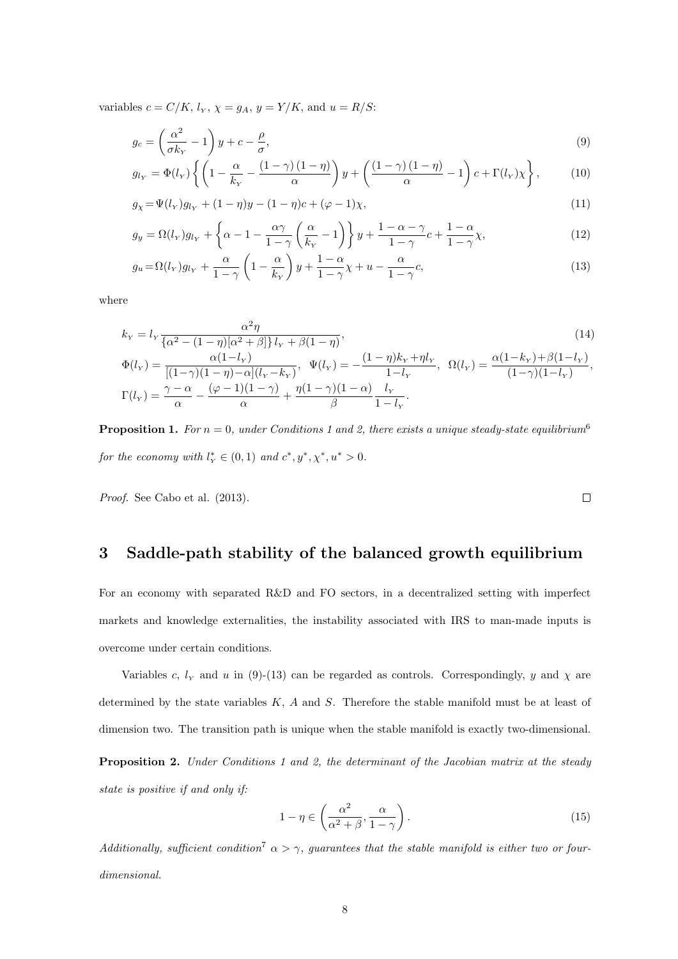variables  $c = C/K$ ,  $l_Y$ ,  $\chi = g_A$ ,  $y = Y/K$ , and  $u = R/S$ :

$$
g_c = \left(\frac{\alpha^2}{\sigma k_Y} - 1\right)y + c - \frac{\rho}{\sigma},\tag{9}
$$

$$
g_{l_Y} = \Phi(l_Y) \left\{ \left( 1 - \frac{\alpha}{k_Y} - \frac{(1-\gamma)(1-\eta)}{\alpha} \right) y + \left( \frac{(1-\gamma)(1-\eta)}{\alpha} - 1 \right) c + \Gamma(l_Y) \chi \right\},\tag{10}
$$

$$
g_{\chi} = \Psi(l_{Y})g_{l_{Y}} + (1 - \eta)y - (1 - \eta)c + (\varphi - 1)\chi,
$$
\n(11)

$$
g_y = \Omega(l_Y)g_{l_Y} + \left\{\alpha - 1 - \frac{\alpha \gamma}{1 - \gamma} \left(\frac{\alpha}{k_Y} - 1\right)\right\} y + \frac{1 - \alpha - \gamma}{1 - \gamma} c + \frac{1 - \alpha}{1 - \gamma} \chi,\tag{12}
$$

$$
g_u = \Omega(l_Y)g_{l_Y} + \frac{\alpha}{1-\gamma} \left(1 - \frac{\alpha}{k_Y}\right)y + \frac{1-\alpha}{1-\gamma}\chi + u - \frac{\alpha}{1-\gamma}c,\tag{13}
$$

where

$$
k_{Y} = l_{Y} \frac{\alpha^{2} \eta}{\{\alpha^{2} - (1 - \eta)[\alpha^{2} + \beta]\}} l_{Y} + \beta(1 - \eta),
$$
\n
$$
\Phi(l_{Y}) = \frac{\alpha(1 - l_{Y})}{[(1 - \gamma)(1 - \eta) - \alpha](l_{Y} - k_{Y})}, \quad \Psi(l_{Y}) = -\frac{(1 - \eta)k_{Y} + \eta l_{Y}}{1 - l_{Y}}, \quad \Omega(l_{Y}) = \frac{\alpha(1 - k_{Y}) + \beta(1 - l_{Y})}{(1 - \gamma)(1 - l_{Y})},
$$
\n
$$
\Gamma(l_{Y}) = \frac{\gamma - \alpha}{\alpha} - \frac{(\varphi - 1)(1 - \gamma)}{\alpha} + \frac{\eta(1 - \gamma)(1 - \alpha)}{\beta} \frac{l_{Y}}{1 - l_{Y}}.
$$
\n(14)

**Proposition 1.** For  $n = 0$ , under Conditions 1 and 2, there exists a unique steady-state equilibrium<sup>6</sup> *for the economy with*  $l_Y^* \in (0,1)$  *and*  $c^*, y^*, \chi^*, u^* > 0$ .

*Proof.* See Cabo et al. (2013).

## **3 Saddle-path stability of the balanced growth equilibrium**

For an economy with separated R&D and FO sectors, in a decentralized setting with imperfect markets and knowledge externalities, the instability associated with IRS to man-made inputs is overcome under certain conditions.

Variables *c*,  $l_Y$  and *u* in (9)-(13) can be regarded as controls. Correspondingly, *y* and  $\chi$  are determined by the state variables *K*, *A* and *S*. Therefore the stable manifold must be at least of dimension two. The transition path is unique when the stable manifold is exactly two-dimensional.

**Proposition 2.** *Under Conditions 1 and 2, the determinant of the Jacobian matrix at the steady state is positive if and only if:*

$$
1 - \eta \in \left(\frac{\alpha^2}{\alpha^2 + \beta}, \frac{\alpha}{1 - \gamma}\right). \tag{15}
$$

*Additionally, sufficient condition*<sup>7</sup>  $\alpha > \gamma$ *, guarantees that the stable manifold is either two or fourdimensional.*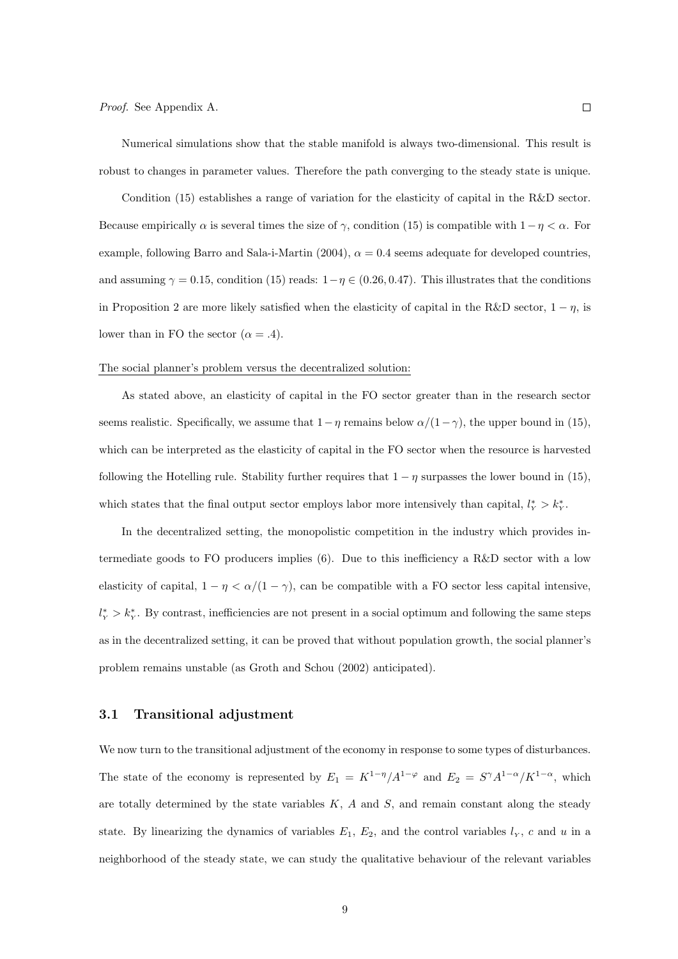Numerical simulations show that the stable manifold is always two-dimensional. This result is robust to changes in parameter values. Therefore the path converging to the steady state is unique.

Condition (15) establishes a range of variation for the elasticity of capital in the R&D sector. Because empirically  $\alpha$  is several times the size of  $\gamma$ , condition (15) is compatible with  $1 - \eta < \alpha$ . For example, following Barro and Sala-i-Martin (2004),  $\alpha = 0.4$  seems adequate for developed countries, and assuming  $\gamma = 0.15$ , condition (15) reads:  $1 - \eta \in (0.26, 0.47)$ . This illustrates that the conditions in Proposition 2 are more likely satisfied when the elasticity of capital in the R&D sector,  $1 - \eta$ , is lower than in FO the sector  $(\alpha = .4)$ .

#### The social planner's problem versus the decentralized solution:

As stated above, an elasticity of capital in the FO sector greater than in the research sector seems realistic. Specifically, we assume that  $1 - \eta$  remains below  $\alpha/(1 - \gamma)$ , the upper bound in (15), which can be interpreted as the elasticity of capital in the FO sector when the resource is harvested following the Hotelling rule. Stability further requires that  $1 - \eta$  surpasses the lower bound in (15), which states that the final output sector employs labor more intensively than capital,  $l_Y^* > k_Y^*$ .

In the decentralized setting, the monopolistic competition in the industry which provides intermediate goods to FO producers implies (6). Due to this inefficiency a R&D sector with a low elasticity of capital,  $1 - \eta < \alpha/(1 - \gamma)$ , can be compatible with a FO sector less capital intensive,  $l_Y^* > k_Y^*$ . By contrast, inefficiencies are not present in a social optimum and following the same steps as in the decentralized setting, it can be proved that without population growth, the social planner's problem remains unstable (as Groth and Schou (2002) anticipated).

#### **3.1 Transitional adjustment**

We now turn to the transitional adjustment of the economy in response to some types of disturbances. The state of the economy is represented by  $E_1 = K^{1-\eta}/A^{1-\varphi}$  and  $E_2 = S^{\gamma}A^{1-\alpha}/K^{1-\alpha}$ , which are totally determined by the state variables *K*, *A* and *S*, and remain constant along the steady state. By linearizing the dynamics of variables  $E_1, E_2$ , and the control variables  $l_Y$ , *c* and *u* in a neighborhood of the steady state, we can study the qualitative behaviour of the relevant variables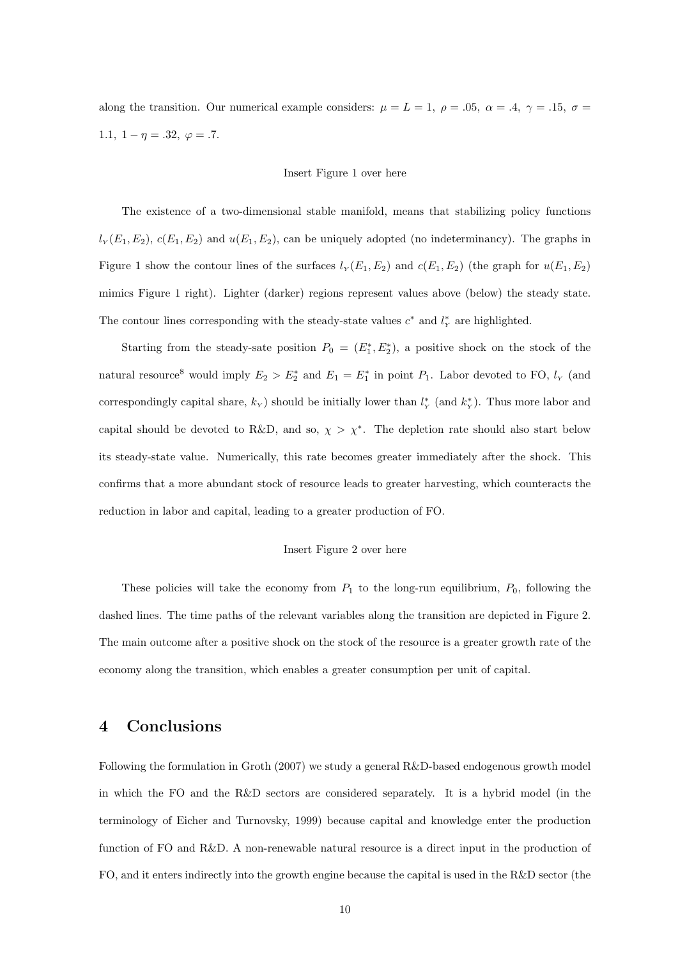along the transition. Our numerical example considers:  $\mu = L = 1$ ,  $\rho = .05$ ,  $\alpha = .4$ ,  $\gamma = .15$ ,  $\sigma =$ 1.1,  $1 - \eta = .32, \varphi = .7.$ 

#### Insert Figure 1 over here

The existence of a two-dimensional stable manifold, means that stabilizing policy functions  $l_Y(E_1, E_2)$ *, c*( $E_1, E_2$ ) and  $u(E_1, E_2)$ *,* can be uniquely adopted (no indeterminancy). The graphs in Figure 1 show the contour lines of the surfaces  $l_Y(E_1, E_2)$  and  $c(E_1, E_2)$  (the graph for  $u(E_1, E_2)$ ) mimics Figure 1 right). Lighter (darker) regions represent values above (below) the steady state. The contour lines corresponding with the steady-state values  $c^*$  and  $l^*$ <sub>r</sub> are highlighted.

Starting from the steady-sate position  $P_0 = (E_1^*, E_2^*)$ , a positive shock on the stock of the natural resource<sup>8</sup> would imply  $E_2 > E_2^*$  and  $E_1 = E_1^*$  in point  $P_1$ . Labor devoted to FO,  $l_Y$  (and correspondingly capital share,  $k_Y$ ) should be initially lower than  $l_Y^*$  (and  $k_Y^*$ ). Thus more labor and capital should be devoted to R&D, and so,  $\chi > \chi^*$ . The depletion rate should also start below its steady-state value. Numerically, this rate becomes greater immediately after the shock. This confirms that a more abundant stock of resource leads to greater harvesting, which counteracts the reduction in labor and capital, leading to a greater production of FO.

#### Insert Figure 2 over here

These policies will take the economy from  $P_1$  to the long-run equilibrium,  $P_0$ , following the dashed lines. The time paths of the relevant variables along the transition are depicted in Figure 2. The main outcome after a positive shock on the stock of the resource is a greater growth rate of the economy along the transition, which enables a greater consumption per unit of capital.

## **4 Conclusions**

Following the formulation in Groth (2007) we study a general R&D-based endogenous growth model in which the FO and the R&D sectors are considered separately. It is a hybrid model (in the terminology of Eicher and Turnovsky, 1999) because capital and knowledge enter the production function of FO and R&D. A non-renewable natural resource is a direct input in the production of FO, and it enters indirectly into the growth engine because the capital is used in the R&D sector (the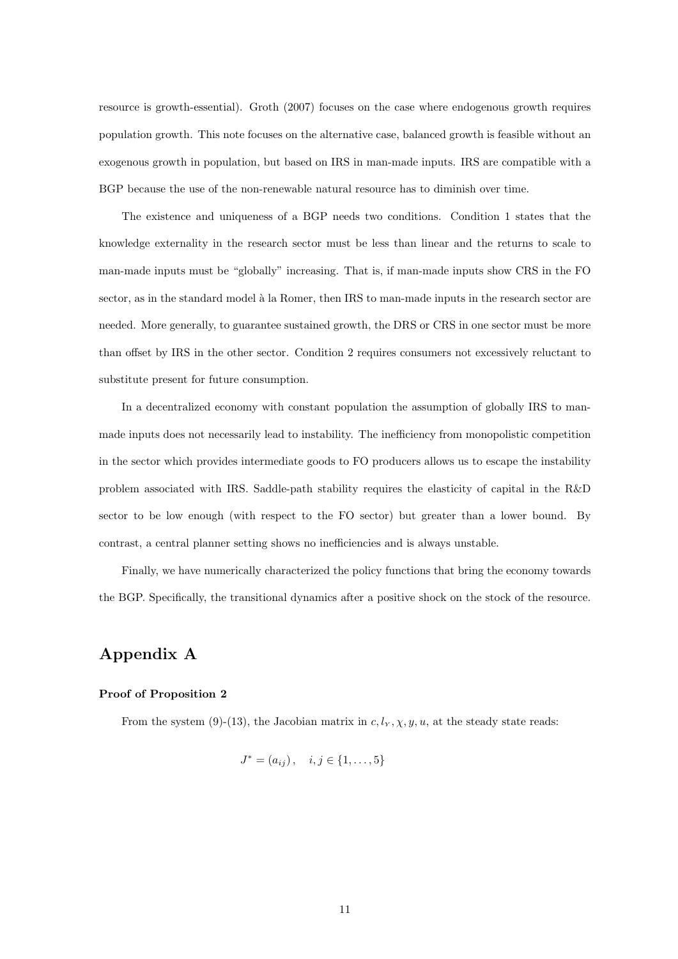resource is growth-essential). Groth (2007) focuses on the case where endogenous growth requires population growth. This note focuses on the alternative case, balanced growth is feasible without an exogenous growth in population, but based on IRS in man-made inputs. IRS are compatible with a BGP because the use of the non-renewable natural resource has to diminish over time.

The existence and uniqueness of a BGP needs two conditions. Condition 1 states that the knowledge externality in the research sector must be less than linear and the returns to scale to man-made inputs must be "globally" increasing. That is, if man-made inputs show CRS in the FO sector, as in the standard model à la Romer, then IRS to man-made inputs in the research sector are needed. More generally, to guarantee sustained growth, the DRS or CRS in one sector must be more than offset by IRS in the other sector. Condition 2 requires consumers not excessively reluctant to substitute present for future consumption.

In a decentralized economy with constant population the assumption of globally IRS to manmade inputs does not necessarily lead to instability. The inefficiency from monopolistic competition in the sector which provides intermediate goods to FO producers allows us to escape the instability problem associated with IRS. Saddle-path stability requires the elasticity of capital in the R&D sector to be low enough (with respect to the FO sector) but greater than a lower bound. By contrast, a central planner setting shows no inefficiencies and is always unstable.

Finally, we have numerically characterized the policy functions that bring the economy towards the BGP. Specifically, the transitional dynamics after a positive shock on the stock of the resource.

## **Appendix A**

### **Proof of Proposition 2**

From the system (9)-(13), the Jacobian matrix in  $c, l_Y, \chi, y, u$ , at the steady state reads:

$$
J^* = (a_{ij}), \quad i, j \in \{1, \dots, 5\}
$$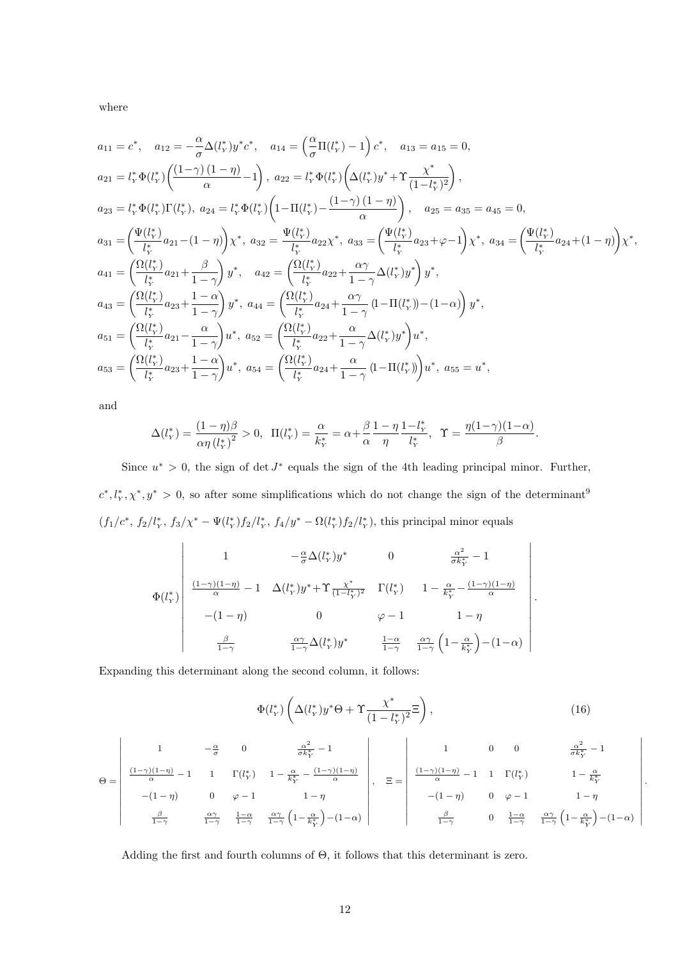where

$$
a_{11} = c^*, \quad a_{12} = -\frac{\alpha}{\sigma} \Delta(l_y^*) y^* c^*, \quad a_{14} = \left(\frac{\alpha}{\sigma} \Pi(l_y^*) - 1\right) c^*, \quad a_{13} = a_{15} = 0,
$$
\n
$$
a_{21} = l_y^* \Phi(l_y^*) \left(\frac{(1-\gamma)(1-\eta)}{\alpha} - 1\right), \quad a_{22} = l_y^* \Phi(l_y^*) \left(\Delta(l_y^*) y^* + \Upsilon \frac{\chi^*}{(1-l_y^*)^2}\right),
$$
\n
$$
a_{23} = l_y^* \Phi(l_y^*) \Gamma(l_y^*), \quad a_{24} = l_y^* \Phi(l_y^*) \left(1 - \Pi(l_y^*) - \frac{(1-\gamma)(1-\eta)}{\alpha}\right), \quad a_{25} = a_{35} = a_{45} = 0,
$$
\n
$$
a_{31} = \left(\frac{\Psi(l_y^*)}{l_y^*} a_{21} - (1-\eta)\right) \chi^*, \quad a_{32} = \frac{\Psi(l_y^*)}{l_y^*} a_{22} \chi^*, \quad a_{33} = \left(\frac{\Psi(l_y^*)}{l_y^*} a_{23} + \varphi - 1\right) \chi^*, \quad a_{34} = \left(\frac{\Psi(l_y^*)}{l_y^*} a_{24} + (1-\eta)\right) \chi^*,
$$
\n
$$
a_{41} = \left(\frac{\Omega(l_y^*)}{l_y^*} a_{21} + \frac{\beta}{1-\gamma}\right) y^*, \quad a_{42} = \left(\frac{\Omega(l_y^*)}{l_y^*} a_{22} + \frac{\alpha \gamma}{1-\gamma} \Delta(l_y^*) y^*\right) y^*,
$$
\n
$$
a_{43} = \left(\frac{\Omega(l_y^*)}{l_y^*} a_{23} + \frac{1-\alpha}{1-\gamma}\right) y^*, \quad a_{44} = \left(\frac{\Omega(l_y^*)}{l_y^*} a_{24} + \frac{\alpha \gamma}{1-\gamma} (1 - \Pi(l_y^*)) - (1 - \alpha)\right) y^*,
$$
\n
$$
a_{51} = \left(\frac{\Omega(l_y^*)}{l_y^*} a_{21} - \frac{\alpha}{1-\gamma}\right) u^*, \quad a_{52} = \left(\frac{\Omega(l_y^*)}{l_y^*} a_{22} + \frac{\
$$

and

$$
\Delta(l_{Y}^{*}) = \frac{(1 - \eta)\beta}{\alpha\eta (l_{Y}^{*})^{2}} > 0, \ \ \Pi(l_{Y}^{*}) = \frac{\alpha}{k_{Y}^{*}} = \alpha + \frac{\beta}{\alpha} \frac{1 - \eta}{\eta} \frac{1 - l_{Y}^{*}}{l_{Y}^{*}}, \ \ \Upsilon = \frac{\eta(1 - \gamma)(1 - \alpha)}{\beta}.
$$

Since  $u^* > 0$ , the sign of det  $J^*$  equals the sign of the 4th leading principal minor. Further,  $c^*, l^*_Y, \chi^*, y^* > 0$ , so after some simplifications which do not change the sign of the determinant<sup>9</sup>  $(f_1/c^*, f_2/l_Y^*, f_3/\chi^* - \Psi(l_Y^*)f_2/l_Y^*, f_4/y^* - \Omega(l_Y^*)f_2/l_Y^*),$  this principal minor equals

$$
\Phi(l_Y^*)\begin{vmatrix}\n1 & -\frac{\alpha}{\sigma}\Delta(l_Y^*)y^* & 0 & \frac{\alpha^2}{\sigma k_Y^*} - 1 \\
\frac{(1-\gamma)(1-\eta)}{\alpha} - 1 & \Delta(l_Y^*)y^* + \Upsilon \frac{\chi^*}{(1-l_Y^*)^2} & \Gamma(l_Y^*) & 1 - \frac{\alpha}{k_Y^*} - \frac{(1-\gamma)(1-\eta)}{\alpha} \\
-(1-\eta) & 0 & \varphi - 1 & 1 - \eta \\
\frac{\beta}{1-\gamma} & \frac{\alpha\gamma}{1-\gamma}\Delta(l_Y^*)y^* & \frac{1-\alpha}{1-\gamma} & \frac{\alpha\gamma}{1-\gamma}\left(1-\frac{\alpha}{k_Y^*}\right) - (1-\alpha)\n\end{vmatrix}
$$

Expanding this determinant along the second column, it follows:

$$
\Phi(l_Y^*)\left(\Delta(l_Y^*)y^*\Theta + \Upsilon \frac{\chi^*}{(1-l_Y^*)^2}\Xi\right),\tag{16}
$$

*.*

$$
\Theta = \left|\begin{array}{cccc} 1 & -\frac{\alpha}{\sigma} & 0 & \frac{\alpha^2}{\sigma k_Y^*} - 1 \\ \frac{(1-\gamma)(1-\eta)}{\alpha} - 1 & 1 & \Gamma(l_Y^*) & 1 - \frac{\alpha}{k_Y^*} - \frac{(1-\gamma)(1-\eta)}{\alpha} \\ - (1-\eta) & 0 & \varphi - 1 & 1-\eta \\ \frac{\beta}{1-\gamma} & \frac{\alpha\gamma}{1-\gamma} & \frac{1-\alpha}{1-\gamma} & \frac{\alpha\gamma}{1-\gamma} \left(1-\frac{\alpha}{k_Y^*}\right) - (1-\alpha) \end{array}\right|, \quad \Xi = \left|\begin{array}{cccc} 1 & 0 & 0 & \frac{\alpha^2}{\sigma k_Y^*} - 1 \\ \frac{(1-\gamma)(1-\eta)}{\alpha} - 1 & 1 & \Gamma(l_Y^*) & 1-\frac{\alpha}{k_Y^*} \\ - (1-\eta) & 0 & \varphi - 1 & 1-\eta \\ \frac{\beta}{1-\gamma} & 0 & \frac{1-\alpha}{1-\gamma} & \frac{\alpha\gamma}{1-\gamma} \left(1-\frac{\alpha}{k_Y^*}\right) - (1-\alpha) \end{array}\right|.
$$

Adding the first and fourth columns of Θ, it follows that this determinant is zero.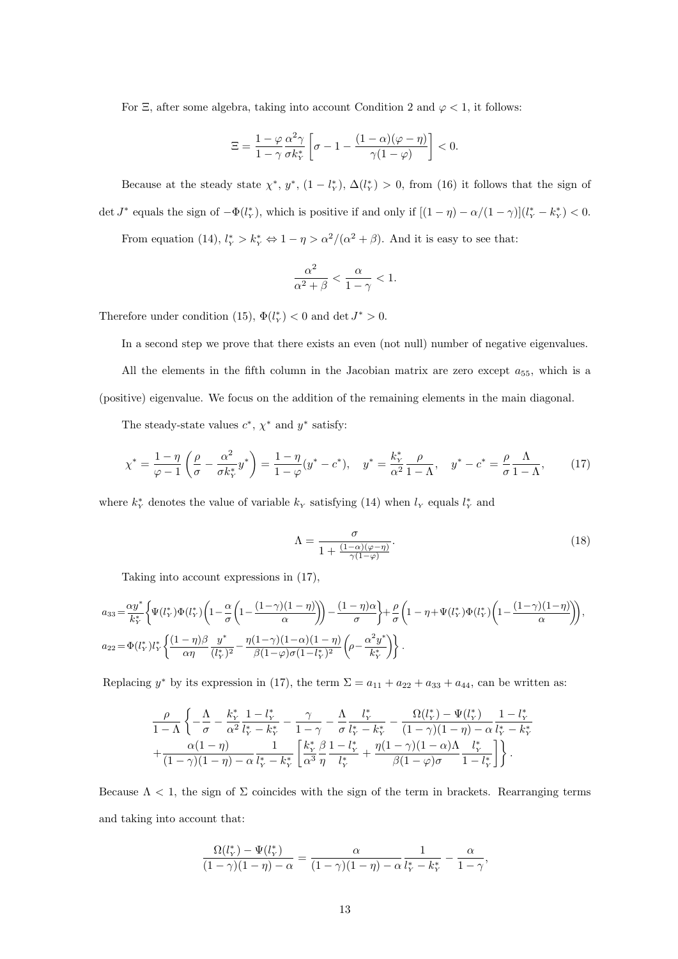For  $\Xi$ , after some algebra, taking into account Condition 2 and  $\varphi < 1$ , it follows:

$$
\Xi = \frac{1-\varphi}{1-\gamma} \frac{\alpha^2 \gamma}{\sigma k_Y^*} \left[ \sigma - 1 - \frac{(1-\alpha)(\varphi - \eta)}{\gamma(1-\varphi)} \right] < 0.
$$

Because at the steady state  $\chi^*, y^*, (1 - l^*_{Y}), \Delta(l^*_{Y}) > 0$ , from (16) it follows that the sign of det  $J^*$  equals the sign of  $-\Phi(l_Y^*)$ , which is positive if and only if  $[(1 - \eta) - \alpha/(1 - \gamma)](l_Y^* - k_Y^*) < 0$ .

From equation (14),  $l_Y^* > k_Y^* \Leftrightarrow 1 - \eta > \alpha^2/(\alpha^2 + \beta)$ . And it is easy to see that:

$$
\frac{\alpha^2}{\alpha^2+\beta}<\frac{\alpha}{1-\gamma}<1.
$$

Therefore under condition (15),  $\Phi(l_Y^*)$  < 0 and det  $J^*$  > 0.

In a second step we prove that there exists an even (not null) number of negative eigenvalues.

All the elements in the fifth column in the Jacobian matrix are zero except  $a_{55}$ , which is a (positive) eigenvalue. We focus on the addition of the remaining elements in the main diagonal.

The steady-state values  $c^*$ ,  $\chi^*$  and  $y^*$  satisfy:

$$
\chi^* = \frac{1 - \eta}{\varphi - 1} \left( \frac{\rho}{\sigma} - \frac{\alpha^2}{\sigma k_Y^*} y^* \right) = \frac{1 - \eta}{1 - \varphi} (y^* - c^*), \quad y^* = \frac{k_Y^*}{\alpha^2} \frac{\rho}{1 - \Lambda}, \quad y^* - c^* = \frac{\rho}{\sigma} \frac{\Lambda}{1 - \Lambda}, \tag{17}
$$

where  $k_Y^*$  denotes the value of variable  $k_Y$  satisfying (14) when  $l_Y$  equals  $l_Y^*$  and

$$
\Lambda = \frac{\sigma}{1 + \frac{(1-\alpha)(\varphi - \eta)}{\gamma(1-\varphi)}}.\tag{18}
$$

Taking into account expressions in (17),

$$
a_{33} = \frac{\alpha y^*}{k_Y^*} \left\{ \Psi(l_Y^*) \Phi(l_Y^*) \left( 1 - \frac{\alpha}{\sigma} \left( 1 - \frac{(1-\gamma)(1-\eta)}{\alpha} \right) \right) - \frac{(1-\eta)\alpha}{\sigma} \right\} + \frac{\rho}{\sigma} \left( 1 - \eta + \Psi(l_Y^*) \Phi(l_Y^*) \left( 1 - \frac{(1-\gamma)(1-\eta)}{\alpha} \right) \right),
$$
  

$$
a_{22} = \Phi(l_Y^*) l_Y^* \left\{ \frac{(1-\eta)\beta}{\alpha\eta} \frac{y^*}{(l_Y^*)^2} - \frac{\eta(1-\gamma)(1-\alpha)(1-\eta)}{\beta(1-\varphi)\sigma(1-l_Y^*)^2} \left( \rho - \frac{\alpha^2 y^*}{k_Y^*} \right) \right\}.
$$

Replacing  $y^*$  by its expression in (17), the term  $\Sigma = a_{11} + a_{22} + a_{33} + a_{44}$ , can be written as:

$$
\frac{\rho}{1-\Lambda} \left\{ -\frac{\Lambda}{\sigma} - \frac{k_{\text{y}}^*}{\alpha^2} \frac{1 - l_{\text{y}}^*}{l_{\text{y}}^* - k_{\text{y}}^*} - \frac{\gamma}{1-\gamma} - \frac{\Lambda}{\sigma} \frac{l_{\text{y}}^*}{l_{\text{y}}^* - k_{\text{y}}^*} - \frac{\Omega(l_{\text{y}}^*) - \Psi(l_{\text{y}}^*)}{(1-\gamma)(1-\eta) - \alpha} \frac{1 - l_{\text{y}}^*}{l_{\text{y}}^* - k_{\text{y}}^*} + \frac{\alpha(1-\eta)}{(1-\gamma)(1-\eta) - \alpha} \frac{1}{l_{\text{y}}^* - k_{\text{y}}^*} \left[ \frac{k_{\text{y}}^*}{\alpha^3} \frac{\beta}{\eta} \frac{1 - l_{\text{y}}^*}{l_{\text{y}}^*} + \frac{\eta(1-\gamma)(1-\alpha)\Lambda}{\beta(1-\varphi)\sigma} \frac{l_{\text{y}}^*}{1 - l_{\text{y}}^*} \right] \right\}.
$$

Because  $\Lambda < 1$ , the sign of  $\Sigma$  coincides with the sign of the term in brackets. Rearranging terms and taking into account that:

$$
\frac{\Omega(l_Y^*) - \Psi(l_Y^*)}{(1 - \gamma)(1 - \eta) - \alpha} = \frac{\alpha}{(1 - \gamma)(1 - \eta) - \alpha} \frac{1}{l_Y^* - k_Y^*} - \frac{\alpha}{1 - \gamma},
$$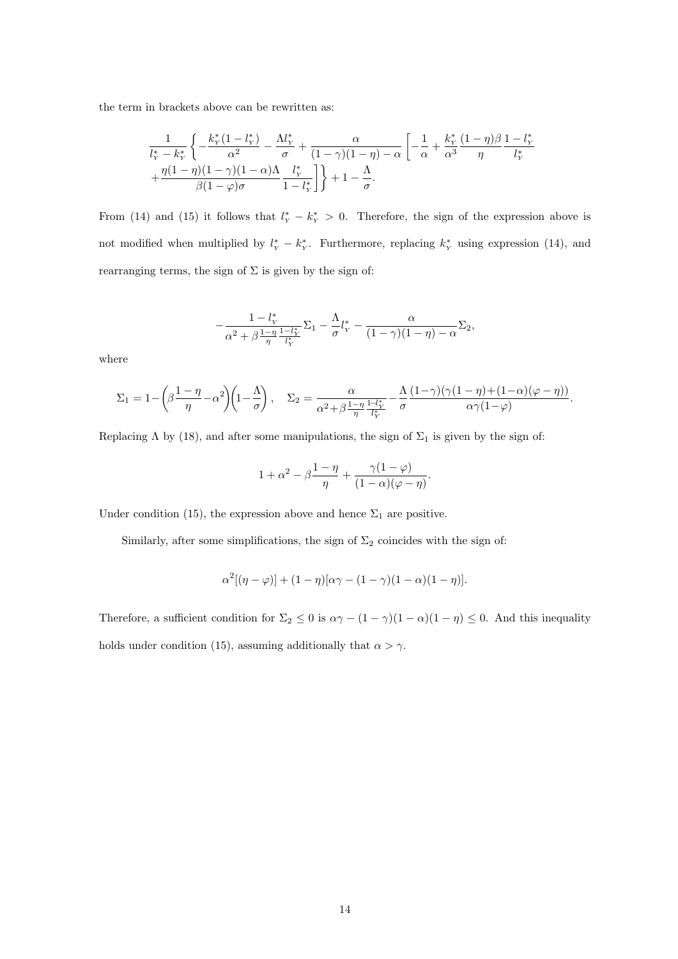the term in brackets above can be rewritten as:

$$
\frac{1}{l_Y^* - k_Y^*} \left\{ -\frac{k_Y^*(1 - l_Y^*)}{\alpha^2} - \frac{\Lambda l_Y^*}{\sigma} + \frac{\alpha}{(1 - \gamma)(1 - \eta) - \alpha} \left[ -\frac{1}{\alpha} + \frac{k_Y^*}{\alpha^3} \frac{(1 - \eta)\beta}{\eta} \frac{1 - l_Y^*}{l_Y^*} + \frac{\eta(1 - \eta)(1 - \gamma)(1 - \alpha)\Lambda}{\beta(1 - \varphi)\sigma} \frac{l_Y^*}{1 - l_Y^*} \right] \right\} + 1 - \frac{\Lambda}{\sigma}.
$$

From (14) and (15) it follows that  $l_Y^* - k_Y^* > 0$ . Therefore, the sign of the expression above is not modified when multiplied by  $l_Y^* - k_Y^*$ . Furthermore, replacing  $k_Y^*$  using expression (14), and rearranging terms, the sign of  $\Sigma$  is given by the sign of:

$$
-\frac{1-l_{Y}^{*}}{\alpha^{2}+\beta\frac{1-\eta}{\eta}\frac{1-l_{Y}^{*}}{l_{Y}^{*}}}\Sigma_{1}-\frac{\Lambda}{\sigma}l_{Y}^{*}-\frac{\alpha}{(1-\gamma)(1-\eta)-\alpha}\Sigma_{2},
$$

where

$$
\Sigma_1 = 1 - \left(\beta \frac{1-\eta}{\eta} - \alpha^2\right) \left(1 - \frac{\Lambda}{\sigma}\right), \quad \Sigma_2 = \frac{\alpha}{\alpha^2 + \beta \frac{1-\eta}{\eta} \frac{1-l_Y^*}{l_Y^*}} - \frac{\Lambda}{\sigma} \frac{(1-\gamma)(\gamma(1-\eta)+(1-\alpha)(\varphi-\eta))}{\alpha \gamma(1-\varphi)}.
$$

Replacing  $\Lambda$  by (18), and after some manipulations, the sign of  $\Sigma_1$  is given by the sign of:

$$
1+\alpha^2-\beta\frac{1-\eta}{\eta}+\frac{\gamma(1-\varphi)}{(1-\alpha)(\varphi-\eta)}.
$$

Under condition (15), the expression above and hence  $\Sigma_1$  are positive.

Similarly, after some simplifications, the sign of  $\Sigma_2$  coincides with the sign of:

$$
\alpha^2[(\eta - \varphi)] + (1 - \eta)[\alpha\gamma - (1 - \gamma)(1 - \alpha)(1 - \eta)].
$$

Therefore, a sufficient condition for  $\Sigma_2 \leq 0$  is  $\alpha \gamma - (1 - \gamma)(1 - \alpha)(1 - \eta) \leq 0$ . And this inequality holds under condition (15), assuming additionally that  $\alpha > \gamma$ .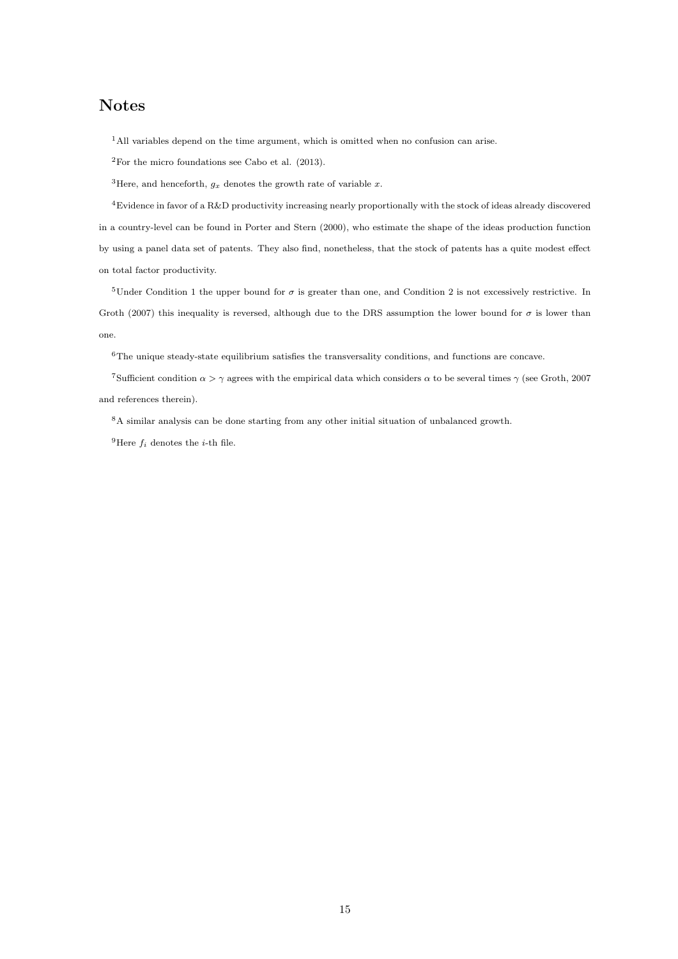## **Notes**

<sup>1</sup>All variables depend on the time argument, which is omitted when no confusion can arise.

 $2$ For the micro foundations see Cabo et al. (2013).

<sup>3</sup>Here, and henceforth,  $g_x$  denotes the growth rate of variable  $x$ .

<sup>4</sup>Evidence in favor of a R&D productivity increasing nearly proportionally with the stock of ideas already discovered in a country-level can be found in Porter and Stern (2000), who estimate the shape of the ideas production function by using a panel data set of patents. They also find, nonetheless, that the stock of patents has a quite modest effect on total factor productivity.

<sup>5</sup>Under Condition 1 the upper bound for  $\sigma$  is greater than one, and Condition 2 is not excessively restrictive. In Groth (2007) this inequality is reversed, although due to the DRS assumption the lower bound for  $\sigma$  is lower than one.

<sup>6</sup>The unique steady-state equilibrium satisfies the transversality conditions, and functions are concave.

<sup>7</sup>Sufficient condition  $\alpha > \gamma$  agrees with the empirical data which considers  $\alpha$  to be several times  $\gamma$  (see Groth, 2007) and references therein).

<sup>8</sup>A similar analysis can be done starting from any other initial situation of unbalanced growth.

<sup>9</sup>Here  $f_i$  denotes the *i*-th file.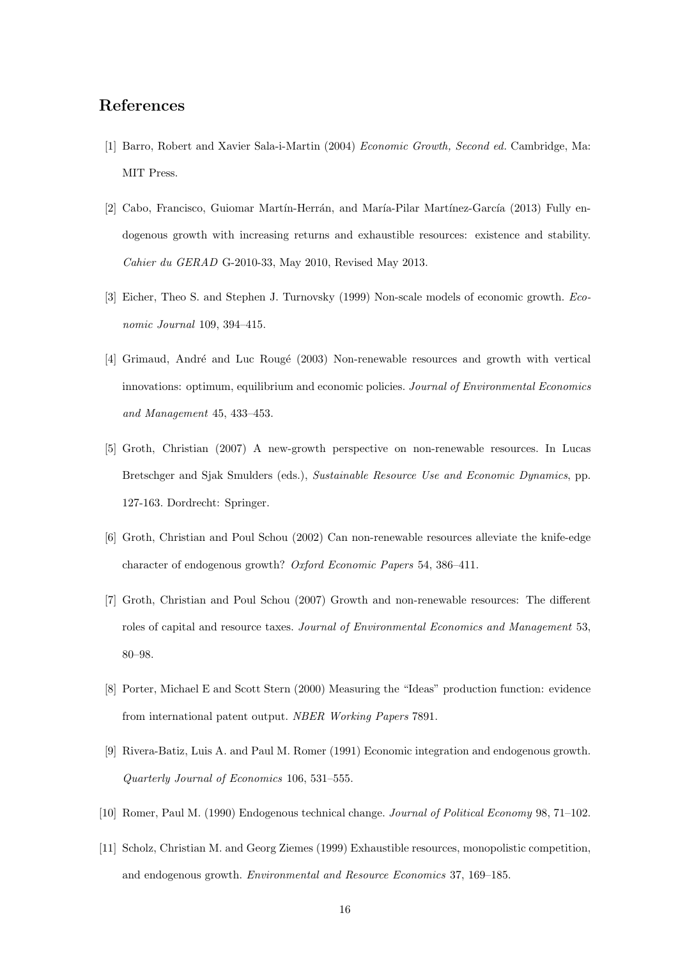## **References**

- [1] Barro, Robert and Xavier Sala-i-Martin (2004) *Economic Growth, Second ed.* Cambridge, Ma: MIT Press.
- [2] Cabo, Francisco, Guiomar Martín-Herrán, and María-Pilar Martínez-García (2013) Fully endogenous growth with increasing returns and exhaustible resources: existence and stability. *Cahier du GERAD* G-2010-33, May 2010, Revised May 2013.
- [3] Eicher, Theo S. and Stephen J. Turnovsky (1999) Non-scale models of economic growth. *Economic Journal* 109, 394–415.
- [4] Grimaud, André and Luc Rougé (2003) Non-renewable resources and growth with vertical innovations: optimum, equilibrium and economic policies. *Journal of Environmental Economics and Management* 45, 433–453.
- [5] Groth, Christian (2007) A new-growth perspective on non-renewable resources. In Lucas Bretschger and Sjak Smulders (eds.), *Sustainable Resource Use and Economic Dynamics*, pp. 127-163. Dordrecht: Springer.
- [6] Groth, Christian and Poul Schou (2002) Can non-renewable resources alleviate the knife-edge character of endogenous growth? *Oxford Economic Papers* 54, 386–411.
- [7] Groth, Christian and Poul Schou (2007) Growth and non-renewable resources: The different roles of capital and resource taxes. *Journal of Environmental Economics and Management* 53, 80–98.
- [8] Porter, Michael E and Scott Stern (2000) Measuring the "Ideas" production function: evidence from international patent output. *NBER Working Papers* 7891.
- [9] Rivera-Batiz, Luis A. and Paul M. Romer (1991) Economic integration and endogenous growth. *Quarterly Journal of Economics* 106, 531–555.
- [10] Romer, Paul M. (1990) Endogenous technical change. *Journal of Political Economy* 98, 71–102.
- [11] Scholz, Christian M. and Georg Ziemes (1999) Exhaustible resources, monopolistic competition, and endogenous growth. *Environmental and Resource Economics* 37, 169–185.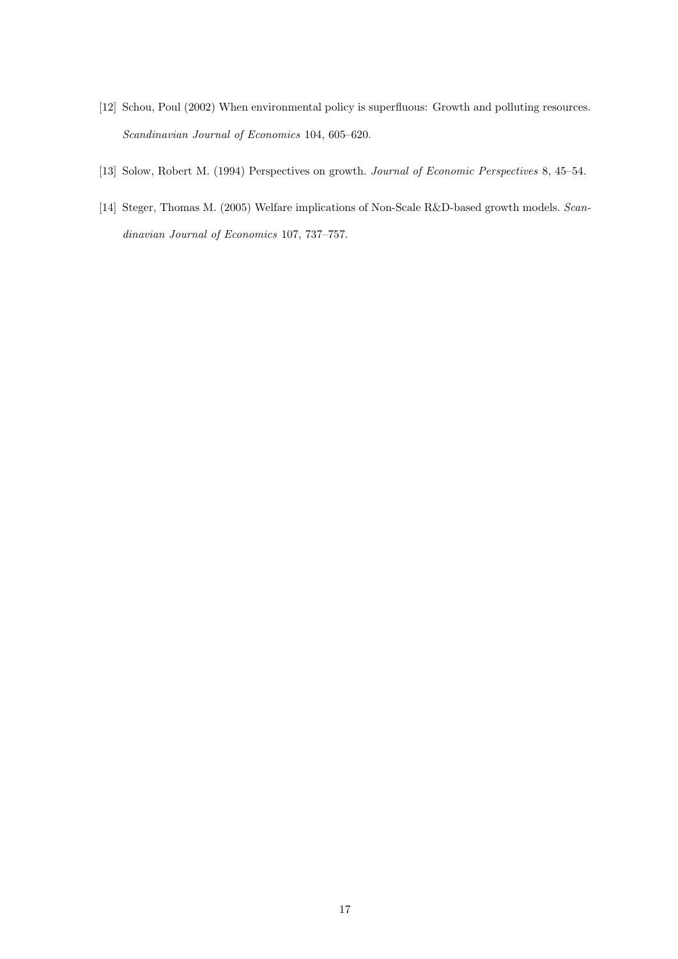- [12] Schou, Poul (2002) When environmental policy is superfluous: Growth and polluting resources. *Scandinavian Journal of Economics* 104, 605–620.
- [13] Solow, Robert M. (1994) Perspectives on growth. *Journal of Economic Perspectives* 8, 45–54.
- [14] Steger, Thomas M. (2005) Welfare implications of Non-Scale R&D-based growth models. *Scandinavian Journal of Economics* 107, 737–757.